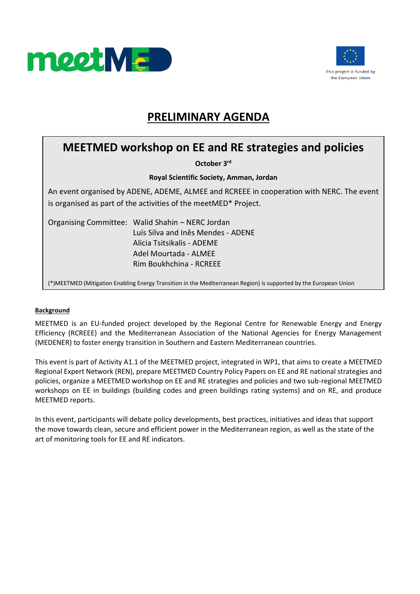



## **PRELIMINARY AGENDA**

## **MEETMED workshop on EE and RE strategies and policies**

**October 3rd**

**Royal Scientific Society, Amman, Jordan**

An event organised by ADENE, ADEME, ALMEE and RCREEE in cooperation with NERC. The event is organised as part of the activities of the meetMED\* Project.

Organising Committee: Walid Shahin – NERC Jordan Luís Silva and Inês Mendes - ADENE Alicia Tsitsikalis - ADEME Adel Mourtada - ALMEE Rim Boukhchina - RCREEE

(\*)MEETMED (Mitigation Enabling Energy Transition in the Mediterranean Region) is supported by the European Union

## **Background**

MEETMED is an EU-funded project developed by the Regional Centre for Renewable Energy and Energy Efficiency (RCREEE) and the Mediterranean Association of the National Agencies for Energy Management (MEDENER) to foster energy transition in Southern and Eastern Mediterranean countries.

This event is part of Activity A1.1 of the MEETMED project, integrated in WP1, that aims to create a MEETMED Regional Expert Network (REN), prepare MEETMED Country Policy Papers on EE and RE national strategies and policies, organize a MEETMED workshop on EE and RE strategies and policies and two sub-regional MEETMED workshops on EE in buildings (building codes and green buildings rating systems) and on RE, and produce MEETMED reports.

In this event, participants will debate policy developments, best practices, initiatives and ideas that support the move towards clean, secure and efficient power in the Mediterranean region, as well as the state of the art of monitoring tools for EE and RE indicators.